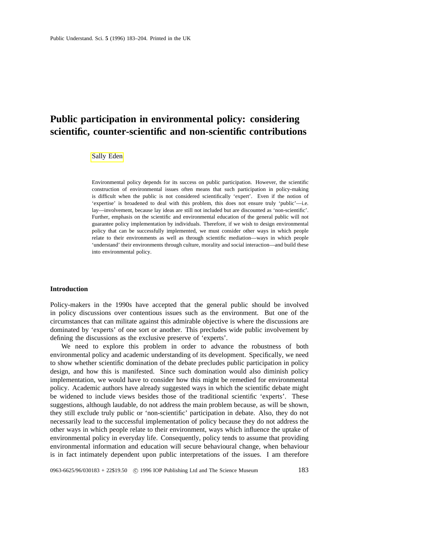# **Public participation in environmental policy: considering scientific, counter-scientific and non-scientific contributions**

[Sally Eden](#page-21-0)

Environmental policy depends for its success on public participation. However, the scientific construction of environmental issues often means that such participation in policy-making is difficult when the public is not considered scientifically 'expert'. Even if the notion of 'expertise' is broadened to deal with this problem, this does not ensure truly 'public'—i.e. lay—involvement, because lay ideas are still not included but are discounted as 'non-scientific'. Further, emphasis on the scientific and environmental education of the general public will not guarantee policy implementation by individuals. Therefore, if we wish to design environmental policy that can be successfully implemented, we must consider other ways in which people relate to their environments as well as through scientific mediation—ways in which people 'understand' their environments through culture, morality and social interaction—and build these into environmental policy.

#### **Introduction**

Policy-makers in the 1990s have accepted that the general public should be involved in policy discussions over contentious issues such as the environment. But one of the circumstances that can militate against this admirable objective is where the discussions are dominated by 'experts' of one sort or another. This precludes wide public involvement by defining the discussions as the exclusive preserve of 'experts'.

We need to explore this problem in order to advance the robustness of both environmental policy and academic understanding of its development. Specifically, we need to show whether scientific domination of the debate precludes public participation in policy design, and how this is manifested. Since such domination would also diminish policy implementation, we would have to consider how this might be remedied for environmental policy. Academic authors have already suggested ways in which the scientific debate might be widened to include views besides those of the traditional scientific 'experts'. These suggestions, although laudable, do not address the main problem because, as will be shown, they still exclude truly public or 'non-scientific' participation in debate. Also, they do not necessarily lead to the successful implementation of policy because they do not address the other ways in which people relate to their environment, ways which influence the uptake of environmental policy in everyday life. Consequently, policy tends to assume that providing environmental information and education will secure behavioural change, when behaviour is in fact intimately dependent upon public interpretations of the issues. I am therefore

0963-6625/96/030183 + 22\$19.50 © 1996 IOP Publishing Ltd and The Science Museum 183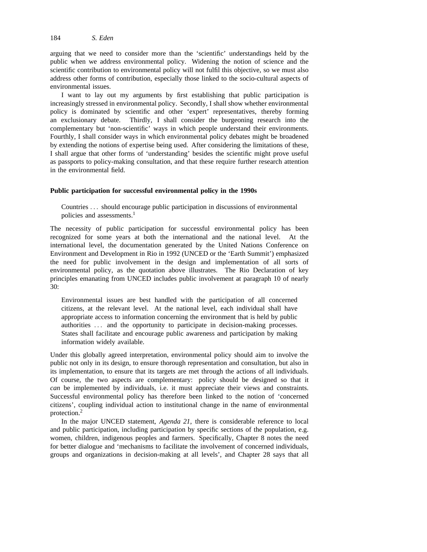arguing that we need to consider more than the 'scientific' understandings held by the public when we address environmental policy. Widening the notion of science and the scientific contribution to environmental policy will not fulfil this objective, so we must also address other forms of contribution, especially those linked to the socio-cultural aspects of environmental issues.

I want to lay out my arguments by first establishing that public participation is increasingly stressed in environmental policy. Secondly, I shall show whether environmental policy is dominated by scientific and other 'expert' representatives, thereby forming an exclusionary debate. Thirdly, I shall consider the burgeoning research into the complementary but 'non-scientific' ways in which people understand their environments. Fourthly, I shall consider ways in which environmental policy debates might be broadened by extending the notions of expertise being used. After considering the limitations of these, I shall argue that other forms of 'understanding' besides the scientific might prove useful as passports to policy-making consultation, and that these require further research attention in the environmental field.

#### **Public participation for successful environmental policy in the 1990s**

Countries ... should encourage public participation in discussions of environmental policies and assessments.<sup>1</sup>

The necessity of public participation for successful environmental policy has been recognized for some years at both the international and the national level. At the international level, the documentation generated by the United Nations Conference on Environment and Development in Rio in 1992 (UNCED or the 'Earth Summit') emphasized the need for public involvement in the design and implementation of all sorts of environmental policy, as the quotation above illustrates. The Rio Declaration of key principles emanating from UNCED includes public involvement at paragraph 10 of nearly 30:

Environmental issues are best handled with the participation of all concerned citizens, at the relevant level. At the national level, each individual shall have appropriate access to information concerning the environment that is held by public authorities ... and the opportunity to participate in decision-making processes. States shall facilitate and encourage public awareness and participation by making information widely available.

Under this globally agreed interpretation, environmental policy should aim to involve the public not only in its design, to ensure thorough representation and consultation, but also in its implementation, to ensure that its targets are met through the actions of all individuals. Of course, the two aspects are complementary: policy should be designed so that it *can* be implemented by individuals, i.e. it must appreciate their views and constraints. Successful environmental policy has therefore been linked to the notion of 'concerned citizens', coupling individual action to institutional change in the name of environmental protection.2

In the major UNCED statement, *Agenda 21*, there is considerable reference to local and public participation, including participation by specific sections of the population, e.g. women, children, indigenous peoples and farmers. Specifically, Chapter 8 notes the need for better dialogue and 'mechanisms to facilitate the involvement of concerned individuals, groups and organizations in decision-making at all levels', and Chapter 28 says that all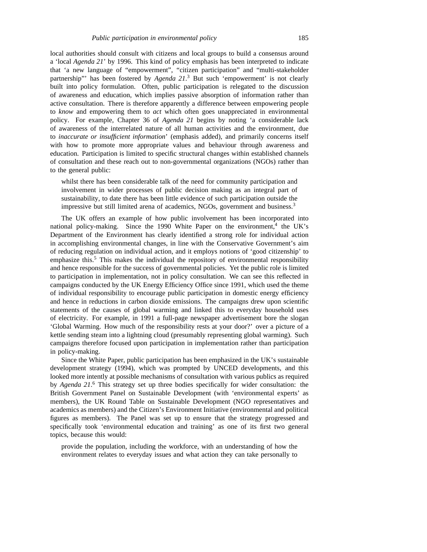local authorities should consult with citizens and local groups to build a consensus around a 'local *Agenda 21*' by 1996. This kind of policy emphasis has been interpreted to indicate that 'a new language of "empowerment", "citizen participation" and "multi-stakeholder partnership"' has been fostered by *Agenda 21*. <sup>3</sup> But such 'empowerment' is not clearly built into policy formulation. Often, public participation is relegated to the discussion of awareness and education, which implies passive absorption of information rather than active consultation. There is therefore apparently a difference between empowering people to *know* and empowering them to *act* which often goes unappreciated in environmental policy. For example, Chapter 36 of *Agenda 21* begins by noting 'a considerable lack of awareness of the interrelated nature of all human activities and the environment, due to *inaccurate or insufficient information*' (emphasis added), and primarily concerns itself with how to promote more appropriate values and behaviour through awareness and education. Participation is limited to specific structural changes within established channels of consultation and these reach out to non-governmental organizations (NGOs) rather than to the general public:

whilst there has been considerable talk of the need for community participation and involvement in wider processes of public decision making as an integral part of sustainability, to date there has been little evidence of such participation outside the impressive but still limited arena of academics, NGOs, government and business.<sup>3</sup>

The UK offers an example of how public involvement has been incorporated into national policy-making. Since the 1990 White Paper on the environment,<sup>4</sup> the UK's Department of the Environment has clearly identified a strong role for individual action in accomplishing environmental changes, in line with the Conservative Government's aim of reducing regulation on individual action, and it employs notions of 'good citizenship' to emphasize this.<sup>5</sup> This makes the individual the repository of environmental responsibility and hence responsible for the success of governmental policies. Yet the public role is limited to participation in implementation, not in policy consultation. We can see this reflected in campaigns conducted by the UK Energy Efficiency Office since 1991, which used the theme of individual responsibility to encourage public participation in domestic energy efficiency and hence in reductions in carbon dioxide emissions. The campaigns drew upon scientific statements of the causes of global warming and linked this to everyday household uses of electricity. For example, in 1991 a full-page newspaper advertisement bore the slogan 'Global Warming. How much of the responsibility rests at your door?' over a picture of a kettle sending steam into a lightning cloud (presumably representing global warming). Such campaigns therefore focused upon participation in implementation rather than participation in policy-making.

Since the White Paper, public participation has been emphasized in the UK's sustainable development strategy (1994), which was prompted by UNCED developments, and this looked more intently at possible mechanisms of consultation with various publics as required by *Agenda 21*. <sup>6</sup> This strategy set up three bodies specifically for wider consultation: the British Government Panel on Sustainable Development (with 'environmental experts' as members), the UK Round Table on Sustainable Development (NGO representatives and academics as members) and the Citizen's Environment Initiative (environmental and political figures as members). The Panel was set up to ensure that the strategy progressed and specifically took 'environmental education and training' as one of its first two general topics, because this would:

provide the population, including the workforce, with an understanding of how the environment relates to everyday issues and what action they can take personally to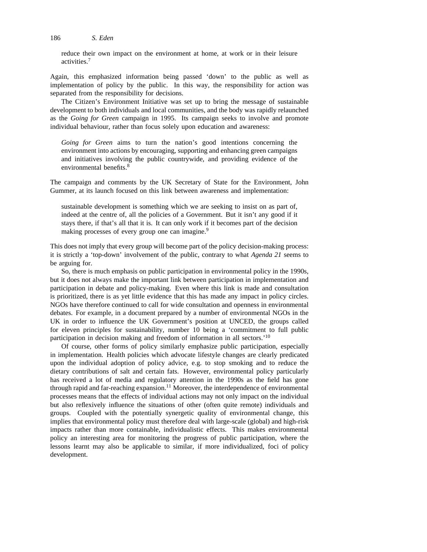reduce their own impact on the environment at home, at work or in their leisure activities.7

Again, this emphasized information being passed 'down' to the public as well as implementation of policy by the public. In this way, the responsibility for action was separated from the responsibility for decisions.

The Citizen's Environment Initiative was set up to bring the message of sustainable development to both individuals and local communities, and the body was rapidly relaunched as the *Going for Green* campaign in 1995. Its campaign seeks to involve and promote individual behaviour, rather than focus solely upon education and awareness:

*Going for Green* aims to turn the nation's good intentions concerning the environment into actions by encouraging, supporting and enhancing green campaigns and initiatives involving the public countrywide, and providing evidence of the environmental benefits.<sup>8</sup>

The campaign and comments by the UK Secretary of State for the Environment, John Gummer, at its launch focused on this link between awareness and implementation:

sustainable development is something which we are seeking to insist on as part of, indeed at the centre of, all the policies of a Government. But it isn't any good if it stays there, if that's all that it is. It can only work if it becomes part of the decision making processes of every group one can imagine.<sup>9</sup>

This does not imply that every group will become part of the policy decision-making process: it is strictly a 'top-down' involvement of the public, contrary to what *Agenda 21* seems to be arguing for.

So, there is much emphasis on public participation in environmental policy in the 1990s, but it does not always make the important link between participation in implementation and participation in debate and policy-making. Even where this link is made and consultation is prioritized, there is as yet little evidence that this has made any impact in policy circles. NGOs have therefore continued to call for wide consultation and openness in environmental debates. For example, in a document prepared by a number of environmental NGOs in the UK in order to influence the UK Government's position at UNCED, the groups called for eleven principles for sustainability, number 10 being a 'commitment to full public participation in decision making and freedom of information in all sectors.'<sup>10</sup>

Of course, other forms of policy similarly emphasize public participation, especially in implementation. Health policies which advocate lifestyle changes are clearly predicated upon the individual adoption of policy advice, e.g. to stop smoking and to reduce the dietary contributions of salt and certain fats. However, environmental policy particularly has received a lot of media and regulatory attention in the 1990s as the field has gone through rapid and far-reaching expansion.<sup>11</sup> Moreover, the interdependence of environmental processes means that the effects of individual actions may not only impact on the individual but also reflexively influence the situations of other (often quite remote) individuals and groups. Coupled with the potentially synergetic quality of environmental change, this implies that environmental policy must therefore deal with large-scale (global) and high-risk impacts rather than more containable, individualistic effects. This makes environmental policy an interesting area for monitoring the progress of public participation, where the lessons learnt may also be applicable to similar, if more individualized, foci of policy development.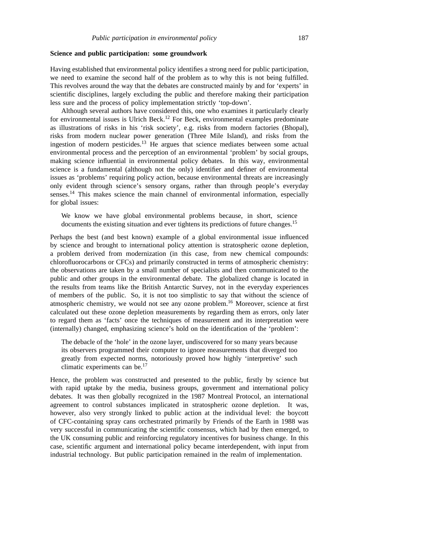# **Science and public participation: some groundwork**

Having established that environmental policy identifies a strong need for public participation, we need to examine the second half of the problem as to why this is not being fulfilled. This revolves around the way that the debates are constructed mainly by and for 'experts' in scientific disciplines, largely excluding the public and therefore making their participation less sure and the process of policy implementation strictly 'top-down'.

Although several authors have considered this, one who examines it particularly clearly for environmental issues is Ulrich Beck.<sup>12</sup> For Beck, environmental examples predominate as illustrations of risks in his 'risk society', e.g. risks from modern factories (Bhopal), risks from modern nuclear power generation (Three Mile Island), and risks from the ingestion of modern pesticides.13 He argues that science mediates between some actual environmental process and the perception of an environmental 'problem' by social groups, making science influential in environmental policy debates. In this way, environmental science is a fundamental (although not the only) identifier and definer of environmental issues as 'problems' requiring policy action, because environmental threats are increasingly only evident through science's sensory organs, rather than through people's everyday senses.<sup>14</sup> This makes science the main channel of environmental information, especially for global issues:

We know we have global environmental problems because, in short, science documents the existing situation and ever tightens its predictions of future changes.<sup>15</sup>

Perhaps the best (and best known) example of a global environmental issue influenced by science and brought to international policy attention is stratospheric ozone depletion, a problem derived from modernization (in this case, from new chemical compounds: chlorofluorocarbons or CFCs) and primarily constructed in terms of atmospheric chemistry: the observations are taken by a small number of specialists and then communicated to the public and other groups in the environmental debate. The globalized change is located in the results from teams like the British Antarctic Survey, not in the everyday experiences of members of the public. So, it is not too simplistic to say that without the science of atmospheric chemistry, we would not see any ozone problem.16 Moreover, science at first calculated out these ozone depletion measurements by regarding them as errors, only later to regard them as 'facts' once the techniques of measurement and its interpretation were (internally) changed, emphasizing science's hold on the identification of the 'problem':

The debacle of the 'hole' in the ozone layer, undiscovered for so many years because its observers programmed their computer to ignore measurements that diverged too greatly from expected norms, notoriously proved how highly 'interpretive' such climatic experiments can be.<sup>17</sup>

Hence, the problem was constructed and presented to the public, firstly by science but with rapid uptake by the media, business groups, government and international policy debates. It was then globally recognized in the 1987 Montreal Protocol, an international agreement to control substances implicated in stratospheric ozone depletion. It was, however, also very strongly linked to public action at the individual level: the boycott of CFC-containing spray cans orchestrated primarily by Friends of the Earth in 1988 was very successful in communicating the scientific consensus, which had by then emerged, to the UK consuming public and reinforcing regulatory incentives for business change. In this case, scientific argument and international policy became interdependent, with input from industrial technology. But public participation remained in the realm of implementation.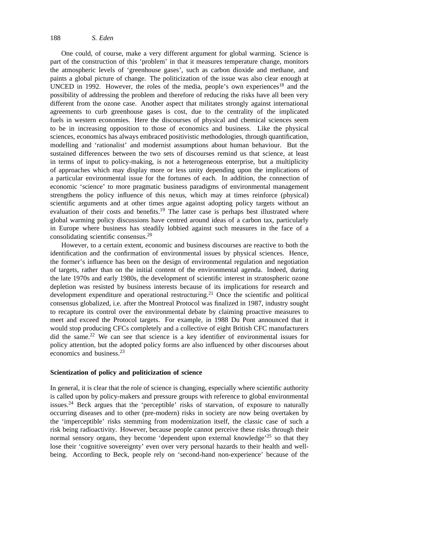One could, of course, make a very different argument for global warming. Science is part of the construction of this 'problem' in that it measures temperature change, monitors the atmospheric levels of 'greenhouse gases', such as carbon dioxide and methane, and paints a global picture of change. The politicization of the issue was also clear enough at UNCED in 1992. However, the roles of the media, people's own experiences<sup>18</sup> and the possibility of addressing the problem and therefore of reducing the risks have all been very different from the ozone case. Another aspect that militates strongly against international agreements to curb greenhouse gases is cost, due to the centrality of the implicated fuels in western economies. Here the discourses of physical and chemical sciences seem to be in increasing opposition to those of economics and business. Like the physical sciences, economics has always embraced positivistic methodologies, through quantification, modelling and 'rationalist' and modernist assumptions about human behaviour. But the sustained differences between the two sets of discourses remind us that science, at least in terms of input to policy-making, is not a heterogeneous enterprise, but a multiplicity of approaches which may display more or less unity depending upon the implications of a particular environmental issue for the fortunes of each. In addition, the connection of economic 'science' to more pragmatic business paradigms of environmental management strengthens the policy influence of this nexus, which may at times reinforce (physical) scientific arguments and at other times argue against adopting policy targets without an evaluation of their costs and benefits.<sup>19</sup> The latter case is perhaps best illustrated where global warming policy discussions have centred around ideas of a carbon tax, particularly in Europe where business has steadily lobbied against such measures in the face of a consolidating scientific consensus.<sup>20</sup>

However, to a certain extent, economic and business discourses are reactive to both the identification and the confirmation of environmental issues by physical sciences. Hence, the former's influence has been on the design of environmental regulation and negotiation of targets, rather than on the initial content of the environmental agenda. Indeed, during the late 1970s and early 1980s, the development of scientific interest in stratospheric ozone depletion was resisted by business interests because of its implications for research and development expenditure and operational restructuring.<sup>21</sup> Once the scientific and political consensus globalized, i.e. after the Montreal Protocol was finalized in 1987, industry sought to recapture its control over the environmental debate by claiming proactive measures to meet and exceed the Protocol targets. For example, in 1988 Du Pont announced that it would stop producing CFCs completely and a collective of eight British CFC manufacturers did the same.<sup>22</sup> We can see that science is a key identifier of environmental issues for policy attention, but the adopted policy forms are also influenced by other discourses about economics and business.<sup>23</sup>

# **Scientization of policy and politicization of science**

In general, it is clear that the role of science is changing, especially where scientific authority is called upon by policy-makers and pressure groups with reference to global environmental issues.24 Beck argues that the 'perceptible' risks of starvation, of exposure to naturally occurring diseases and to other (pre-modern) risks in society are now being overtaken by the 'imperceptible' risks stemming from modernization itself, the classic case of such a risk being radioactivity. However, because people cannot perceive these risks through their normal sensory organs, they become 'dependent upon external knowledge'<sup>25</sup> so that they lose their 'cognitive sovereignty' even over very personal hazards to their health and wellbeing. According to Beck, people rely on 'second-hand non-experience' because of the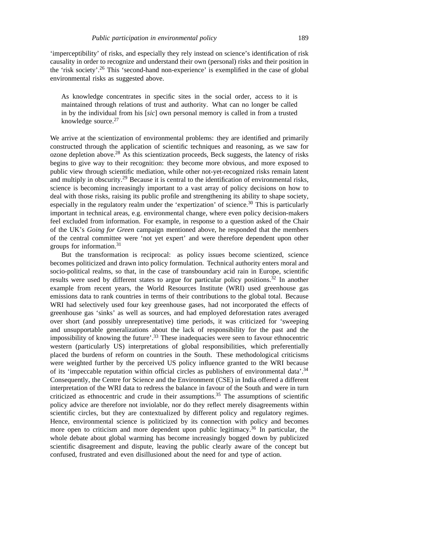'imperceptibility' of risks, and especially they rely instead on science's identification of risk causality in order to recognize and understand their own (personal) risks and their position in the 'risk society'.26 This 'second-hand non-experience' is exemplified in the case of global environmental risks as suggested above.

As knowledge concentrates in specific sites in the social order, access to it is maintained through relations of trust and authority. What can no longer be called in by the individual from his [*sic*] own personal memory is called in from a trusted knowledge source. $27$ 

We arrive at the scientization of environmental problems: they are identified and primarily constructed through the application of scientific techniques and reasoning, as we saw for ozone depletion above.<sup>28</sup> As this scientization proceeds, Beck suggests, the latency of risks begins to give way to their recognition: they become more obvious, and more exposed to public view through scientific mediation, while other not-yet-recognized risks remain latent and multiply in obscurity.<sup>29</sup> Because it is central to the identification of environmental risks, science is becoming increasingly important to a vast array of policy decisions on how to deal with those risks, raising its public profile and strengthening its ability to shape society, especially in the regulatory realm under the 'expertization' of science.<sup>30</sup> This is particularly important in technical areas, e.g. environmental change, where even policy decision-makers feel excluded from information. For example, in response to a question asked of the Chair of the UK's *Going for Green* campaign mentioned above, he responded that the members of the central committee were 'not yet expert' and were therefore dependent upon other groups for information.<sup>31</sup>

But the transformation is reciprocal: as policy issues become scientized, science becomes politicized and drawn into policy formulation. Technical authority enters moral and socio-political realms, so that, in the case of transboundary acid rain in Europe, scientific results were used by different states to argue for particular policy positions.<sup>32</sup> In another example from recent years, the World Resources Institute (WRI) used greenhouse gas emissions data to rank countries in terms of their contributions to the global total. Because WRI had selectively used four key greenhouse gases, had not incorporated the effects of greenhouse gas 'sinks' as well as sources, and had employed deforestation rates averaged over short (and possibly unrepresentative) time periods, it was criticized for 'sweeping and unsupportable generalizations about the lack of responsibility for the past and the impossibility of knowing the future'.<sup>33</sup> These inadequacies were seen to favour ethnocentric western (particularly US) interpretations of global responsibilities, which preferentially placed the burdens of reform on countries in the South. These methodological criticisms were weighted further by the perceived US policy influence granted to the WRI because of its 'impeccable reputation within official circles as publishers of environmental data'.34 Consequently, the Centre for Science and the Environment (CSE) in India offered a different interpretation of the WRI data to redress the balance in favour of the South and were in turn criticized as ethnocentric and crude in their assumptions.<sup>35</sup> The assumptions of scientific policy advice are therefore not inviolable, nor do they reflect merely disagreements within scientific circles, but they are contextualized by different policy and regulatory regimes. Hence, environmental science is politicized by its connection with policy and becomes more open to criticism and more dependent upon public legitimacy.<sup>36</sup> In particular, the whole debate about global warming has become increasingly bogged down by publicized scientific disagreement and dispute, leaving the public clearly aware of the concept but confused, frustrated and even disillusioned about the need for and type of action.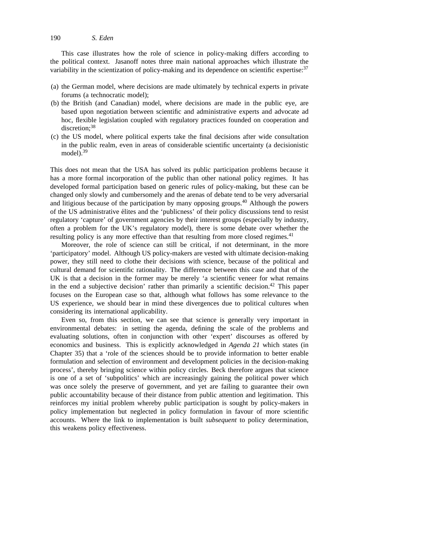# 190 *S. Eden*

This case illustrates how the role of science in policy-making differs according to the political context. Jasanoff notes three main national approaches which illustrate the variability in the scientization of policy-making and its dependence on scientific expertise:<sup>37</sup>

- (a) the German model, where decisions are made ultimately by technical experts in private forums (a technocratic model);
- (b) the British (and Canadian) model, where decisions are made in the public eye, are based upon negotiation between scientific and administrative experts and advocate ad hoc, flexible legislation coupled with regulatory practices founded on cooperation and discretion;<sup>38</sup>
- (c) the US model, where political experts take the final decisions after wide consultation in the public realm, even in areas of considerable scientific uncertainty (a decisionistic model).<sup>39</sup>

This does not mean that the USA has solved its public participation problems because it has a more formal incorporation of the public than other national policy regimes. It has developed formal participation based on generic rules of policy-making, but these can be changed only slowly and cumbersomely and the arenas of debate tend to be very adversarial and litigious because of the participation by many opposing groups.<sup>40</sup> Although the powers of the US administrative elites and the 'publicness' of their policy discussions tend to resist ´ regulatory 'capture' of government agencies by their interest groups (especially by industry, often a problem for the UK's regulatory model), there is some debate over whether the resulting policy is any more effective than that resulting from more closed regimes.<sup>41</sup>

Moreover, the role of science can still be critical, if not determinant, in the more 'participatory' model. Although US policy-makers are vested with ultimate decision-making power, they still need to clothe their decisions with science, because of the political and cultural demand for scientific rationality. The difference between this case and that of the UK is that a decision in the former may be merely 'a scientific veneer for what remains in the end a subjective decision' rather than primarily a scientific decision.<sup>42</sup> This paper focuses on the European case so that, although what follows has some relevance to the US experience, we should bear in mind these divergences due to political cultures when considering its international applicability.

Even so, from this section, we can see that science is generally very important in environmental debates: in setting the agenda, defining the scale of the problems and evaluating solutions, often in conjunction with other 'expert' discourses as offered by economics and business. This is explicitly acknowledged in *Agenda 21* which states (in Chapter 35) that a 'role of the sciences should be to provide information to better enable formulation and selection of environment and development policies in the decision-making process', thereby bringing science within policy circles. Beck therefore argues that science is one of a set of 'subpolitics' which are increasingly gaining the political power which was once solely the preserve of government, and yet are failing to guarantee their own public accountability because of their distance from public attention and legitimation. This reinforces my initial problem whereby public participation is sought by policy-makers in policy implementation but neglected in policy formulation in favour of more scientific accounts. Where the link to implementation is built *subsequent* to policy determination, this weakens policy effectiveness.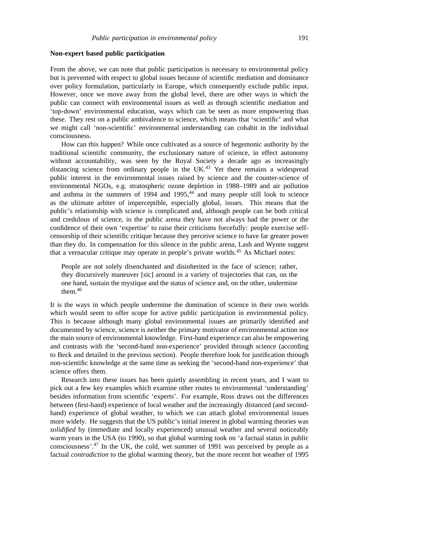# **Non-expert based public participation**

From the above, we can note that public participation is necessary to environmental policy but is prevented with respect to global issues because of scientific mediation and dominance over policy formulation, particularly in Europe, which consequently exclude public input. However, once we move away from the global level, there are other ways in which the public can connect with environmental issues as well as through scientific mediation and 'top-down' environmental education, ways which can be seen as more empowering than these. They rest on a public ambivalence to science, which means that 'scientific' and what we might call 'non-scientific' environmental understanding can cohabit in the individual consciousness.

How can this happen? While once cultivated as a source of hegemonic authority by the traditional scientific community, the exclusionary nature of science, in effect autonomy without accountability, was seen by the Royal Society a decade ago as increasingly distancing science from ordinary people in the UK.<sup>43</sup> Yet there remains a widespread public interest in the environmental issues raised by science and the counter-science of environmental NGOs, e.g. stratospheric ozone depletion in 1988–1989 and air pollution and asthma in the summers of  $1994$  and  $1995,44$  and many people still look to science as the ultimate arbiter of imperceptible, especially global, issues. This means that the public's relationship with science is complicated and, although people can be both critical and credulous of science, in the public arena they have not always had the power or the confidence of their own 'expertise' to raise their criticisms forcefully: people exercise selfcensorship of their scientific critique because they perceive science to have far greater power than they do. In compensation for this silence in the public arena, Lash and Wynne suggest that a vernacular critique may operate in people's private worlds.<sup>45</sup> As Michael notes:

People are not solely disenchanted and disinherited in the face of science; rather, they discursively maneuver [sic] around in a variety of trajectories that can, on the one hand, sustain the mystique and the status of science and, on the other, undermine them.<sup>46</sup>

It is the ways in which people undermine the domination of science in their own worlds which would seem to offer scope for active public participation in environmental policy. This is because although many global environmental issues are primarily identified and documented by science, science is neither the primary motivator of environmental action nor the main source of environmental knowledge. First-hand experience can also be empowering and contrasts with the 'second-hand non-experience' provided through science (according to Beck and detailed in the previous section). People therefore look for justification through non-scientific knowledge at the same time as seeking the 'second-hand non-experience' that science offers them.

Research into these issues has been quietly assembling in recent years, and I want to pick out a few key examples which examine other routes to environmental 'understanding' besides information from scientific 'experts'. For example, Ross draws out the differences between (first-hand) experience of local weather and the increasingly distanced (and secondhand) experience of global weather, to which we can attach global environmental issues more widely. He suggests that the US public's initial interest in global warming theories was *solidified* by (immediate and locally experienced) unusual weather and several noticeably warm years in the USA (to 1990), so that global warming took on 'a factual status in public consciousness'.47 In the UK, the cold, wet summer of 1991 was perceived by people as a factual *contradiction* to the global warming theory, but the more recent hot weather of 1995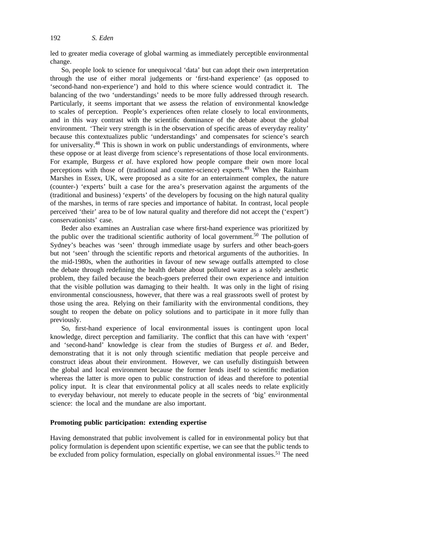led to greater media coverage of global warming as immediately perceptible environmental change.

So, people look to science for unequivocal 'data' but can adopt their own interpretation through the use of either moral judgements or 'first-hand experience' (as opposed to 'second-hand non-experience') and hold to this where science would contradict it. The balancing of the two 'understandings' needs to be more fully addressed through research. Particularly, it seems important that we assess the relation of environmental knowledge to scales of perception. People's experiences often relate closely to local environments, and in this way contrast with the scientific dominance of the debate about the global environment. 'Their very strength is in the observation of specific areas of everyday reality' because this contextualizes public 'understandings' and compensates for science's search for universality.48 This is shown in work on public understandings of environments, where these oppose or at least diverge from science's representations of those local environments. For example, Burgess *et al*. have explored how people compare their own more local perceptions with those of (traditional and counter-science) experts.<sup>49</sup> When the Rainham Marshes in Essex, UK, were proposed as a site for an entertainment complex, the nature (counter-) 'experts' built a case for the area's preservation against the arguments of the (traditional and business) 'experts' of the developers by focusing on the high natural quality of the marshes, in terms of rare species and importance of habitat. In contrast, local people perceived 'their' area to be of low natural quality and therefore did not accept the ('expert') conservationists' case.

Beder also examines an Australian case where first-hand experience was prioritized by the public over the traditional scientific authority of local government.<sup>50</sup> The pollution of Sydney's beaches was 'seen' through immediate usage by surfers and other beach-goers but not 'seen' through the scientific reports and rhetorical arguments of the authorities. In the mid-1980s, when the authorities in favour of new sewage outfalls attempted to close the debate through redefining the health debate about polluted water as a solely aesthetic problem, they failed because the beach-goers preferred their own experience and intuition that the visible pollution was damaging to their health. It was only in the light of rising environmental consciousness, however, that there was a real grassroots swell of protest by those using the area. Relying on their familiarity with the environmental conditions, they sought to reopen the debate on policy solutions and to participate in it more fully than previously.

So, first-hand experience of local environmental issues is contingent upon local knowledge, direct perception and familiarity. The conflict that this can have with 'expert' and 'second-hand' knowledge is clear from the studies of Burgess *et al*. and Beder, demonstrating that it is not only through scientific mediation that people perceive and construct ideas about their environment. However, we can usefully distinguish between the global and local environment because the former lends itself to scientific mediation whereas the latter is more open to public construction of ideas and therefore to potential policy input. It is clear that environmental policy at all scales needs to relate explicitly to everyday behaviour, not merely to educate people in the secrets of 'big' environmental science: the local and the mundane are also important.

# **Promoting public participation: extending expertise**

Having demonstrated that public involvement is called for in environmental policy but that policy formulation is dependent upon scientific expertise, we can see that the public tends to be excluded from policy formulation, especially on global environmental issues.<sup>51</sup> The need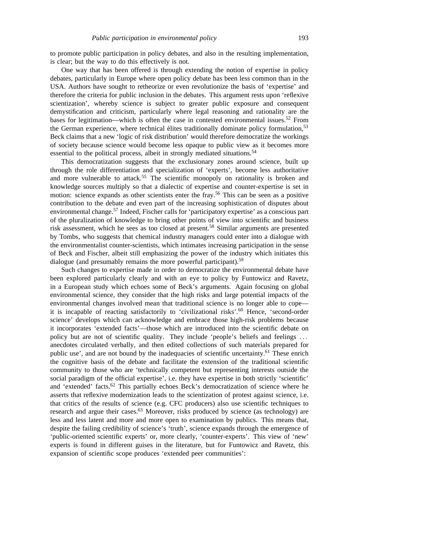to promote public participation in policy debates, and also in the resulting implementation, is clear; but the way to do this effectively is not.

One way that has been offered is through extending the notion of expertise in policy debates, particularly in Europe where open policy debate has been less common than in the USA. Authors have sought to retheorize or even revolutionize the basis of 'expertise' and therefore the criteria for public inclusion in the debates. This argument rests upon 'reflexive scientization', whereby science is subject to greater public exposure and consequent demystification and criticism, particularly where legal reasoning and rationality are the bases for legitimation—which is often the case in contested environmental issues.<sup>52</sup> From the German experience, where technical élites traditionally dominate policy formulation,  $5<sup>3</sup>$ Beck claims that a new 'logic of risk distribution' would therefore democratize the workings of society because science would become less opaque to public view as it becomes more essential to the political process, albeit in strongly mediated situations.<sup>54</sup>

This democratization suggests that the exclusionary zones around science, built up through the role differentiation and specialization of 'experts', become less authoritative and more vulnerable to attack.<sup>55</sup> The scientific monopoly on rationality is broken and knowledge sources multiply so that a dialectic of expertise and counter-expertise is set in motion: science expands as other scientists enter the fray.<sup>56</sup> This can be seen as a positive contribution to the debate and even part of the increasing sophistication of disputes about environmental change.<sup>57</sup> Indeed, Fischer calls for 'participatory expertise' as a conscious part of the pluralization of knowledge to bring other points of view into scientific and business risk assessment, which he sees as too closed at present.<sup>58</sup> Similar arguments are presented by Tombs, who suggests that chemical industry managers could enter into a dialogue with the environmentalist counter-scientists, which intimates increasing participation in the sense of Beck and Fischer, albeit still emphasizing the power of the industry which initiates this dialogue (and presumably remains the more powerful participant).<sup>59</sup>

Such changes to expertise made in order to democratize the environmental debate have been explored particularly clearly and with an eye to policy by Funtowicz and Ravetz, in a European study which echoes some of Beck's arguments. Again focusing on global environmental science, they consider that the high risks and large potential impacts of the environmental changes involved mean that traditional science is no longer able to cope it is incapable of reacting satisfactorily to 'civilizational risks'.<sup>60</sup> Hence, 'second-order science' develops which can acknowledge and embrace those high-risk problems because it incorporates 'extended facts'—those which are introduced into the scientific debate on policy but are not of scientific quality. They include 'people's beliefs and feelings ... anecdotes circulated verbally, and then edited collections of such materials prepared for public use', and are not bound by the inadequacies of scientific uncertainty. $^{61}$  These enrich the cognitive basis of the debate and facilitate the extension of the traditional scientific community to those who are 'technically competent but representing interests outside the social paradigm of the official expertise', i.e. they have expertise in both strictly 'scientific' and 'extended' facts.<sup>62</sup> This partially echoes Beck's democratization of science where he asserts that reflexive modernization leads to the scientization of protest against science, i.e. that critics of the results of science (e.g. CFC producers) also use scientific techniques to research and argue their cases.<sup>63</sup> Moreover, risks produced by science (as technology) are less and less latent and more and more open to examination by publics. This means that, despite the failing credibility of science's 'truth', science expands through the emergence of 'public-oriented scientific experts' or, more clearly, 'counter-experts'. This view of 'new' experts is found in different guises in the literature, but for Funtowicz and Ravetz, this expansion of scientific scope produces 'extended peer communities':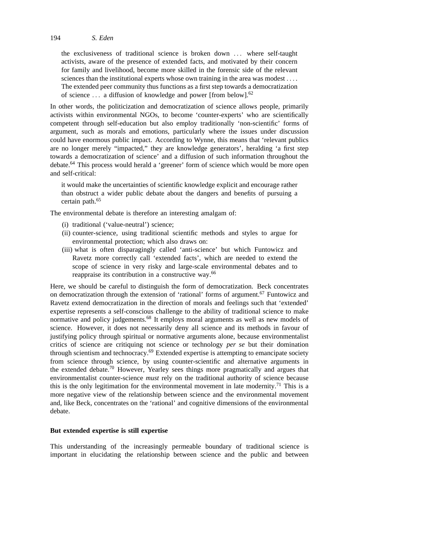the exclusiveness of traditional science is broken down ... where self-taught activists, aware of the presence of extended facts, and motivated by their concern for family and livelihood, become more skilled in the forensic side of the relevant sciences than the institutional experts whose own training in the area was modest ... . The extended peer community thus functions as a first step towards a democratization of science ... a diffusion of knowledge and power [from below].62

In other words, the politicization and democratization of science allows people, primarily activists within environmental NGOs, to become 'counter-experts' who are scientifically competent through self-education but also employ traditionally 'non-scientific' forms of argument, such as morals and emotions, particularly where the issues under discussion could have enormous public impact. According to Wynne, this means that 'relevant publics are no longer merely "impacted," they are knowledge generators', heralding 'a first step towards a democratization of science' and a diffusion of such information throughout the debate.<sup>64</sup> This process would herald a 'greener' form of science which would be more open and self-critical:

it would make the uncertainties of scientific knowledge explicit and encourage rather than obstruct a wider public debate about the dangers and benefits of pursuing a certain path.<sup>65</sup>

The environmental debate is therefore an interesting amalgam of:

- (i) traditional ('value-neutral') science;
- (ii) counter-science, using traditional scientific methods and styles to argue for environmental protection; which also draws on:
- (iii) what is often disparagingly called 'anti-science' but which Funtowicz and Ravetz more correctly call 'extended facts', which are needed to extend the scope of science in very risky and large-scale environmental debates and to reappraise its contribution in a constructive way.<sup>66</sup>

Here, we should be careful to distinguish the form of democratization. Beck concentrates on democratization through the extension of 'rational' forms of argument.<sup>67</sup> Funtowicz and Ravetz extend democratization in the direction of morals and feelings such that 'extended' expertise represents a self-conscious challenge to the ability of traditional science to make normative and policy judgements.<sup>68</sup> It employs moral arguments as well as new models of science. However, it does not necessarily deny all science and its methods in favour of justifying policy through spiritual or normative arguments alone, because environmentalist critics of science are critiquing not science or technology *per se* but their domination through scientism and technocracy.<sup>69</sup> Extended expertise is attempting to emancipate society from science through science, by using counter-scientific and alternative arguments in the extended debate.<sup>70</sup> However, Yearley sees things more pragmatically and argues that environmentalist counter-science *must* rely on the traditional authority of science because this is the only legitimation for the environmental movement in late modernity.<sup>71</sup> This is a more negative view of the relationship between science and the environmental movement and, like Beck, concentrates on the 'rational' and cognitive dimensions of the environmental debate.

## **But extended expertise is still expertise**

This understanding of the increasingly permeable boundary of traditional science is important in elucidating the relationship between science and the public and between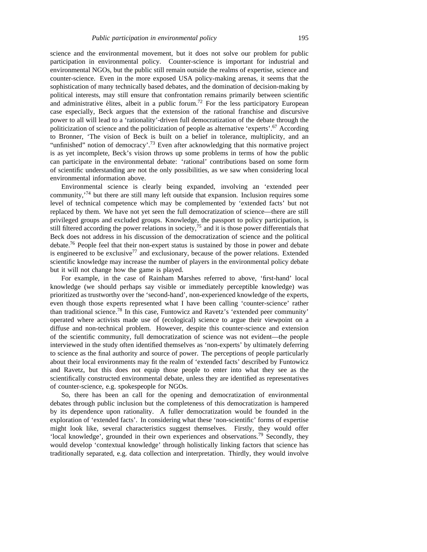science and the environmental movement, but it does not solve our problem for public participation in environmental policy. Counter-science is important for industrial and environmental NGOs, but the public still remain outside the realms of expertise, science and counter-science. Even in the more exposed USA policy-making arenas, it seems that the sophistication of many technically based debates, and the domination of decision-making by political interests, may still ensure that confrontation remains primarily between scientific and administrative élites, albeit in a public forum.<sup>72</sup> For the less participatory European case especially, Beck argues that the extension of the rational franchise and discursive power to all will lead to a 'rationality'-driven full democratization of the debate through the politicization of science and the politicization of people as alternative 'experts'.<sup>67</sup> According to Bronner, 'The vision of Beck is built on a belief in tolerance, multiplicity, and an "unfinished" notion of democracy'.<sup>73</sup> Even after acknowledging that this normative project is as yet incomplete, Beck's vision throws up some problems in terms of how the public can participate in the environmental debate: 'rational' contributions based on some form of scientific understanding are not the only possibilities, as we saw when considering local environmental information above.

Environmental science is clearly being expanded, involving an 'extended peer community,'<sup>74</sup> but there are still many left outside that expansion. Inclusion requires some level of technical competence which may be complemented by 'extended facts' but not replaced by them. We have not yet seen the full democratization of science—there are still privileged groups and excluded groups. Knowledge, the passport to policy participation, is still filtered according the power relations in society,  $\frac{1}{2}$  and it is those power differentials that Beck does not address in his discussion of the democratization of science and the political debate.<sup>76</sup> People feel that their non-expert status is sustained by those in power and debate is engineered to be exclusive<sup>77</sup> and exclusionary, because of the power relations. Extended scientific knowledge may increase the number of players in the environmental policy debate but it will not change how the game is played.

For example, in the case of Rainham Marshes referred to above, 'first-hand' local knowledge (we should perhaps say visible or immediately perceptible knowledge) was prioritized as trustworthy over the 'second-hand', non-experienced knowledge of the experts, even though those experts represented what I have been calling 'counter-science' rather than traditional science.78 In this case, Funtowicz and Ravetz's 'extended peer community' operated where activists made use of (ecological) science to argue their viewpoint on a diffuse and non-technical problem. However, despite this counter-science and extension of the scientific community, full democratization of science was not evident—the people interviewed in the study often identified themselves as 'non-experts' by ultimately deferring to science as the final authority and source of power. The perceptions of people particularly about their local environments may fit the realm of 'extended facts' described by Funtowicz and Ravetz, but this does not equip those people to enter into what they see as the scientifically constructed environmental debate, unless they are identified as representatives of counter-science, e.g. spokespeople for NGOs.

So, there has been an call for the opening and democratization of environmental debates through public inclusion but the completeness of this democratization is hampered by its dependence upon rationality. A fuller democratization would be founded in the exploration of 'extended facts'. In considering what these 'non-scientific' forms of expertise might look like, several characteristics suggest themselves. Firstly, they would offer 'local knowledge', grounded in their own experiences and observations.<sup>79</sup> Secondly, they would develop 'contextual knowledge' through holistically linking factors that science has traditionally separated, e.g. data collection and interpretation. Thirdly, they would involve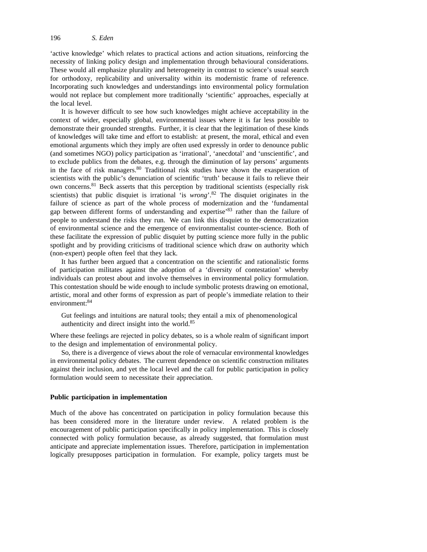'active knowledge' which relates to practical actions and action situations, reinforcing the necessity of linking policy design and implementation through behavioural considerations. These would all emphasize plurality and heterogeneity in contrast to science's usual search for orthodoxy, replicability and universality within its modernistic frame of reference. Incorporating such knowledges and understandings into environmental policy formulation would not replace but complement more traditionally 'scientific' approaches, especially at the local level.

It is however difficult to see how such knowledges might achieve acceptability in the context of wider, especially global, environmental issues where it is far less possible to demonstrate their grounded strengths. Further, it is clear that the legitimation of these kinds of knowledges will take time and effort to establish: at present, the moral, ethical and even emotional arguments which they imply are often used expressly in order to denounce public (and sometimes NGO) policy participation as 'irrational', 'anecdotal' and 'unscientific', and to exclude publics from the debates, e.g. through the diminution of lay persons' arguments in the face of risk managers. $80$  Traditional risk studies have shown the exasperation of scientists with the public's denunciation of scientific 'truth' because it fails to relieve their own concerns.<sup>81</sup> Beck asserts that this perception by traditional scientists (especially risk scientists) that public disquiet is irrational 'is *wrong*'.82 The disquiet originates in the failure of science as part of the whole process of modernization and the 'fundamental gap between different forms of understanding and expertise'83 rather than the failure of people to understand the risks they run. We can link this disquiet to the democratization of environmental science and the emergence of environmentalist counter-science. Both of these facilitate the expression of public disquiet by putting science more fully in the public spotlight and by providing criticisms of traditional science which draw on authority which (non-expert) people often feel that they lack.

It has further been argued that a concentration on the scientific and rationalistic forms of participation militates against the adoption of a 'diversity of contestation' whereby individuals can protest about and involve themselves in environmental policy formulation. This contestation should be wide enough to include symbolic protests drawing on emotional, artistic, moral and other forms of expression as part of people's immediate relation to their environment: 84

Gut feelings and intuitions are natural tools; they entail a mix of phenomenological authenticity and direct insight into the world.<sup>85</sup>

Where these feelings are rejected in policy debates, so is a whole realm of significant import to the design and implementation of environmental policy.

So, there is a divergence of views about the role of vernacular environmental knowledges in environmental policy debates. The current dependence on scientific construction militates against their inclusion, and yet the local level and the call for public participation in policy formulation would seem to necessitate their appreciation.

#### **Public participation in implementation**

Much of the above has concentrated on participation in policy formulation because this has been considered more in the literature under review. A related problem is the encouragement of public participation specifically in policy implementation. This is closely connected with policy formulation because, as already suggested, that formulation must anticipate and appreciate implementation issues. Therefore, participation in implementation logically presupposes participation in formulation. For example, policy targets must be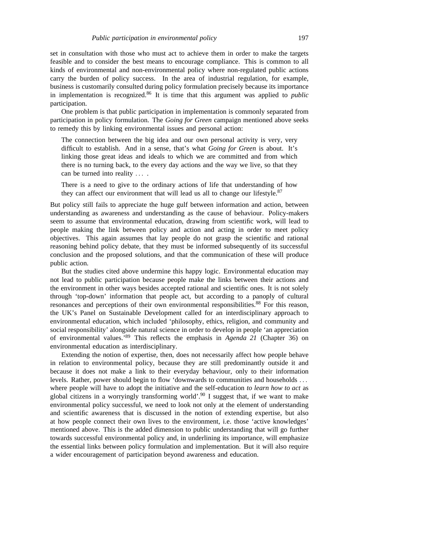set in consultation with those who must act to achieve them in order to make the targets feasible and to consider the best means to encourage compliance. This is common to all kinds of environmental and non-environmental policy where non-regulated public actions carry the burden of policy success. In the area of industrial regulation, for example, business is customarily consulted during policy formulation precisely because its importance in implementation is recognized.86 It is time that this argument was applied to *public* participation.

One problem is that public participation in implementation is commonly separated from participation in policy formulation. The *Going for Green* campaign mentioned above seeks to remedy this by linking environmental issues and personal action:

The connection between the big idea and our own personal activity is very, very difficult to establish. And in a sense, that's what *Going for Green* is about. It's linking those great ideas and ideals to which we are committed and from which there is no turning back, to the every day actions and the way we live, so that they can be turned into reality ... .

There is a need to give to the ordinary actions of life that understanding of how they can affect our environment that will lead us all to change our lifestyle.<sup>87</sup>

But policy still fails to appreciate the huge gulf between information and action, between understanding as awareness and understanding as the cause of behaviour. Policy-makers seem to assume that environmental education, drawing from scientific work, will lead to people making the link between policy and action and acting in order to meet policy objectives. This again assumes that lay people do not grasp the scientific and rational reasoning behind policy debate, that they must be informed subsequently of its successful conclusion and the proposed solutions, and that the communication of these will produce public action.

But the studies cited above undermine this happy logic. Environmental education may not lead to public participation because people make the links between their actions and the environment in other ways besides accepted rational and scientific ones. It is not solely through 'top-down' information that people act, but according to a panoply of cultural resonances and perceptions of their own environmental responsibilities.<sup>88</sup> For this reason, the UK's Panel on Sustainable Development called for an interdisciplinary approach to environmental education, which included 'philosophy, ethics, religion, and community and social responsibility' alongside natural science in order to develop in people 'an appreciation of environmental values.'89 This reflects the emphasis in *Agenda 21* (Chapter 36) on environmental education as interdisciplinary.

Extending the notion of expertise, then, does not necessarily affect how people behave in relation to environmental policy, because they are still predominantly outside it and because it does not make a link to their everyday behaviour, only to their information levels. Rather, power should begin to flow 'downwards to communities and households ... where people will have to adopt the initiative and the self-education *to learn how to act* as global citizens in a worryingly transforming world'.<sup>90</sup> I suggest that, if we want to make environmental policy successful, we need to look not only at the element of understanding and scientific awareness that is discussed in the notion of extending expertise, but also at how people connect their own lives to the environment, i.e. those 'active knowledges' mentioned above. This is the added dimension to public understanding that will go further towards successful environmental policy and, in underlining its importance, will emphasize the essential links between policy formulation and implementation. But it will also require a wider encouragement of participation beyond awareness and education.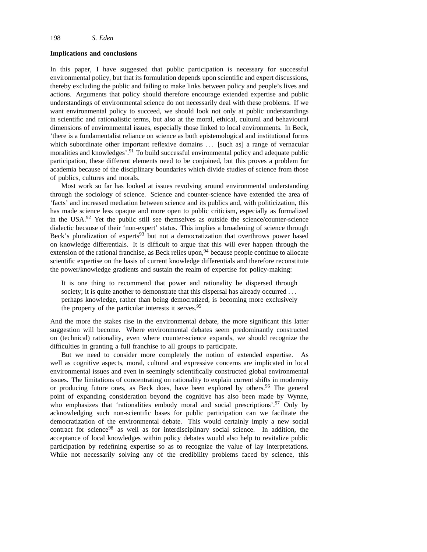### **Implications and conclusions**

In this paper, I have suggested that public participation is necessary for successful environmental policy, but that its formulation depends upon scientific and expert discussions, thereby excluding the public and failing to make links between policy and people's lives and actions. Arguments that policy should therefore encourage extended expertise and public understandings of environmental science do not necessarily deal with these problems. If we want environmental policy to succeed, we should look not only at public understandings in scientific and rationalistic terms, but also at the moral, ethical, cultural and behavioural dimensions of environmental issues, especially those linked to local environments. In Beck, 'there is a fundamentalist reliance on science as both epistemological and institutional forms which subordinate other important reflexive domains ... [such as] a range of vernacular moralities and knowledges'.<sup>91</sup> To build successful environmental policy and adequate public participation, these different elements need to be conjoined, but this proves a problem for academia because of the disciplinary boundaries which divide studies of science from those of publics, cultures and morals.

Most work so far has looked at issues revolving around environmental understanding through the sociology of science. Science and counter-science have extended the area of 'facts' and increased mediation between science and its publics and, with politicization, this has made science less opaque and more open to public criticism, especially as formalized in the USA.<sup>92</sup> Yet the public still see themselves as outside the science/counter-science dialectic because of their 'non-expert' status. This implies a broadening of science through Beck's pluralization of experts<sup>93</sup> but not a democratization that overthrows power based on knowledge differentials. It is difficult to argue that this will ever happen through the extension of the rational franchise, as Beck relies upon,  $94$  because people continue to allocate scientific expertise on the basis of current knowledge differentials and therefore reconstitute the power/knowledge gradients and sustain the realm of expertise for policy-making:

It is one thing to recommend that power and rationality be dispersed through society; it is quite another to demonstrate that this dispersal has already occurred ... perhaps knowledge, rather than being democratized, is becoming more exclusively the property of the particular interests it serves.<sup>95</sup>

And the more the stakes rise in the environmental debate, the more significant this latter suggestion will become. Where environmental debates seem predominantly constructed on (technical) rationality, even where counter-science expands, we should recognize the difficulties in granting a full franchise to all groups to participate.

But we need to consider more completely the notion of extended expertise. As well as cognitive aspects, moral, cultural and expressive concerns are implicated in local environmental issues and even in seemingly scientifically constructed global environmental issues. The limitations of concentrating on rationality to explain current shifts in modernity or producing future ones, as Beck does, have been explored by others.<sup>96</sup> The general point of expanding consideration beyond the cognitive has also been made by Wynne, who emphasizes that 'rationalities embody moral and social prescriptions'.<sup>97</sup> Only by acknowledging such non-scientific bases for public participation can we facilitate the democratization of the environmental debate. This would certainly imply a new social contract for science<sup>98</sup> as well as for interdisciplinary social science. In addition, the acceptance of local knowledges within policy debates would also help to revitalize public participation by redefining expertise so as to recognize the value of lay interpretations. While not necessarily solving any of the credibility problems faced by science, this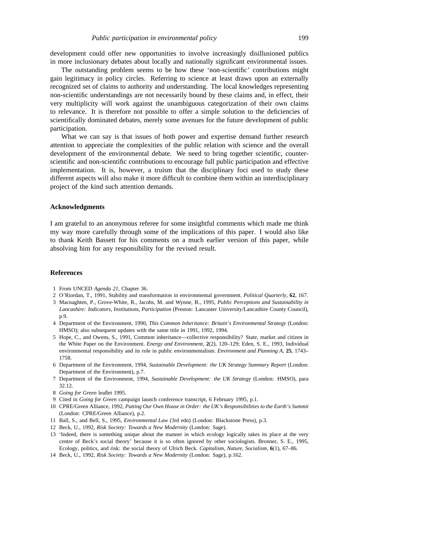development could offer new opportunities to involve increasingly disillusioned publics in more inclusionary debates about locally and nationally significant environmental issues.

The outstanding problem seems to be how these 'non-scientific' contributions might gain legitimacy in policy circles. Referring to science at least draws upon an externally recognized set of claims to authority and understanding. The local knowledges representing non-scientific understandings are not necessarily bound by these claims and, in effect, their very multiplicity will work against the unambiguous categorization of their own claims to relevance. It is therefore not possible to offer a simple solution to the deficiencies of scientifically dominated debates, merely some avenues for the future development of public participation.

What we can say is that issues of both power and expertise demand further research attention to appreciate the complexities of the public relation with science and the overall development of the environmental debate. We need to bring together scientific, counterscientific and non-scientific contributions to encourage full public participation and effective implementation. It is, however, a truism that the disciplinary foci used to study these different aspects will also make it more difficult to combine them within an interdisciplinary project of the kind such attention demands.

## **Acknowledgments**

I am grateful to an anonymous referee for some insightful comments which made me think my way more carefully through some of the implications of this paper. I would also like to thank Keith Bassett for his comments on a much earlier version of this paper, while absolving him for any responsibility for the revised result.

## **References**

- 1 From UNCED *Agenda 21*, Chapter 36.
- 2 O'Riordan, T., 1991, Stability and transformation in environmental government. *Political Quarterly*, **62**, 167.
- 3 Macnaghten, P., Grove-White, R., Jacobs, M. and Wynne, B., 1995, *Public Perceptions and Sustainability in Lancashire: Indicators, Institutions, Participation* (Preston: Lancaster University/Lancashire County Council), p.9.
- 4 Department of the Environment, 1990, *This Common Inheritance: Britain's Environmental Strategy* (London: HMSO); also subsequent updates with the same title in 1991, 1992, 1994.
- 5 Hope, C., and Owens, S., 1991, Common inheritance—collective responsibility? State, market and citizen in the White Paper on the Environment. *Energy and Environment*, **2**(2), 120–129; Eden, S. E., 1993, Individual environmental responsibility and its role in public environmentalism. *Environment and Planning A*, **25**, 1743– 1758.
- 6 Department of the Environment, 1994, *Sustainable Development: the UK Strategy Summary Report* (London: Department of the Environment), p.7.
- 7 Department of the Environment, 1994, *Sustainable Development: the UK Strategy* (London: HMSO), para 32.12.
- 8 *Going for Green* leaflet 1995.
- 9 Cited in *Going for Green* campaign launch conference transcript, 6 February 1995, p.1.
- 10 CPRE/Green Alliance, 1992, *Putting Our Own House in Order: the UK's Responsibilities to the Earth's Summit* (London: CPRE/Green Alliance), p.2.
- 11 Ball, S., and Bell, S., 1995, *Environmental Law* (3rd edn) (London: Blackstone Press), p.3.
- 12 Beck, U., 1992, *Risk Society: Towards a New Modernity* (London: Sage).
- 13 'Indeed, there is something unique about the manner in which ecology logically takes its place at the very centre of Beck's social theory' because it is so often ignored by other sociologists. Bronner, S. E., 1995, Ecology, politics, and risk: the social theory of Ulrich Beck. *Capitalism, Nature, Socialism*, **6**(1), 67–86.
- 14 Beck, U., 1992, *Risk Society: Towards a New Modernity* (London: Sage), p.162.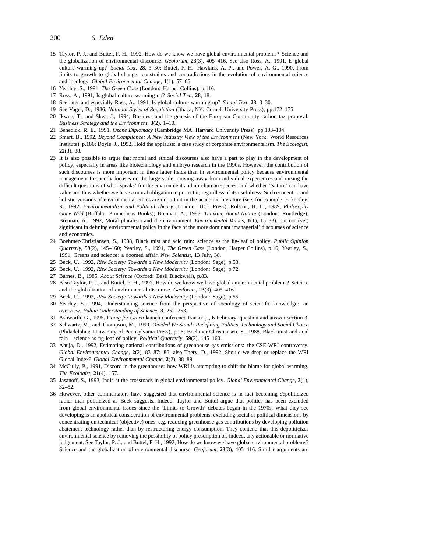- 15 Taylor, P. J., and Buttel, F. H., 1992, How do we know we have global environmental problems? Science and the globalization of environmental discourse. *Geoforum*, **23**(3), 405–416. See also Ross, A., 1991, Is global culture warming up? *Social Text*, **28**, 3–30; Buttel, F. H., Hawkins, A. P., and Power, A. G., 1990, From limits to growth to global change: constraints and contradictions in the evolution of environmental science and ideology. *Global Environmental Change*, **1**(1), 57–66.
- 16 Yearley, S., 1991, *The Green Case* (London: Harper Collins), p.116.
- 17 Ross, A., 1991, Is global culture warming up? *Social Text*, **28**, 18.
- 18 See later and especially Ross, A., 1991, Is global culture warming up? *Social Text*, **28**, 3–30.
- 19 See Vogel, D., 1986, *National Styles of Regulation* (Ithaca, NY: Cornell University Press), pp.172–175.
- 20 Ikwue, T., and Skea, J., 1994, Business and the genesis of the European Community carbon tax proposal. *Business Strategy and the Environment*, **3**(2), 1–10.
- 21 Benedick, R. E., 1991, *Ozone Diplomacy* (Cambridge MA: Harvard University Press), pp.103–104.
- 22 Smart, B., 1992, *Beyond Compliance: A New Industry View of the Environment* (New York: World Resources Institute), p.186; Doyle, J., 1992, Hold the applause: a case study of corporate environmentalism. *The Ecologist*, **22**(3), 88.
- 23 It is also possible to argue that moral and ethical discourses also have a part to play in the development of policy, especially in areas like biotechnology and embryo research in the 1990s. However, the contribution of such discourses is more important in these latter fields than in environmental policy because environmental management frequently focuses on the large scale, moving away from individual experiences and raising the difficult questions of who 'speaks' for the environment and non-human species, and whether 'Nature' can have value and thus whether we have a moral obligation to protect it, regardless of its usefulness. Such ecocentric and holistic versions of environmental ethics are important in the academic literature (see, for example, Eckersley, R., 1992, *Environmentalism and Political Theory* (London: UCL Press); Rolston, H. III, 1989, *Philosophy Gone Wild* (Buffalo: Prometheus Books); Brennan, A., 1988, *Thinking About Nature* (London: Routledge); Brennan, A., 1992, Moral pluralism and the environment. *Environmental Values*, **1**(1), 15–33), but not (yet) significant in defining environmental policy in the face of the more dominant 'managerial' discourses of science and economics.
- 24 Boehmer-Christiansen, S., 1988, Black mist and acid rain: science as the fig-leaf of policy. *Public Opinion Quarterly*, **59**(2), 145–160; Yearley, S., 1991, *The Green Case* (London, Harper Collins), p.16; Yearley, S., 1991, Greens and science: a doomed affair. *New Scientist*, 13 July, 38.
- 25 Beck, U., 1992, *Risk Society: Towards a New Modernity* (London: Sage), p.53.
- 26 Beck, U., 1992, *Risk Society: Towards a New Modernity* (London: Sage), p.72.
- 27 Barnes, B., 1985, *About Science* (Oxford: Basil Blackwell), p.83.
- 28 Also Taylor, P. J., and Buttel, F. H., 1992, How do we know we have global environmental problems? Science and the globalization of environmental discourse. *Geoforum*, **23**(3), 405–416.
- 29 Beck, U., 1992, *Risk Society: Towards a New Modernity* (London: Sage), p.55.
- 30 Yearley, S., 1994, Understanding science from the perspective of sociology of scientific knowledge: an overview. *Public Understanding of Science*, **3**, 252–253.
- 31 Ashworth, G., 1995, *Going for Green* launch conference transcript, 6 February, question and answer section 3.
- 32 Schwartz, M., and Thompson, M., 1990, *Divided We Stand: Redefining Politics, Technology and Social Choice* (Philadelphia: University of Pennsylvania Press), p.26; Boehmer-Christiansen, S., 1988, Black mist and acid rain—science as fig leaf of policy. *Political Quarterly*, **59**(2), 145–160.
- 33 Ahuja, D., 1992, Estimating national contributions of greenhouse gas emissions: the CSE-WRI controversy. *Global Environmental Change*, **2**(2), 83–87: 86; also Thery, D., 1992, Should we drop or replace the WRI Global Index? *Global Environmental Change*, **2**(2), 88–89.
- 34 McCully, P., 1991, Discord in the greenhouse: how WRI is attempting to shift the blame for global warming. *The Ecologist*, **21**(4), 157.
- 35 Jasanoff, S., 1993, India at the crossroads in global environmental policy. *Global Environmental Change*, **3**(1), 32–52.
- 36 However, other commentators have suggested that environmental science is in fact becoming *de*politicized rather than politicized as Beck suggests. Indeed, Taylor and Buttel argue that politics has been excluded from global environmental issues since the 'Limits to Growth' debates began in the 1970s. What they see developing is an apolitical consideration of environmental problems, excluding social or political dimensions by concentrating on technical (objective) ones, e.g. reducing greenhouse gas contributions by developing pollution abatement technology rather than by restructuring energy consumption. They contend that this depoliticizes environmental science by removing the possibility of policy prescription or, indeed, any actionable or normative judgement. See Taylor, P. J., and Buttel, F. H., 1992, How do we know we have global environmental problems? Science and the globalization of environmental discourse. *Geoforum*, **23**(3), 405–416. Similar arguments are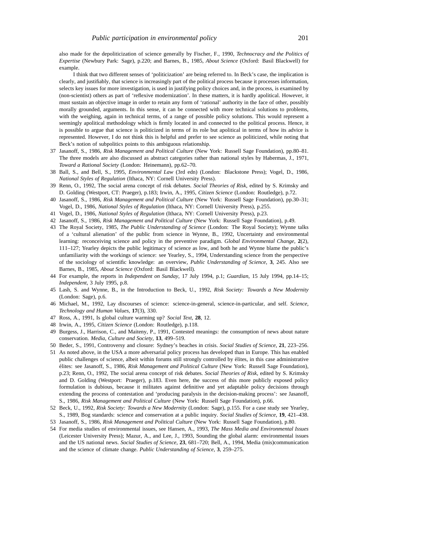also made for the depoliticization of science generally by Fischer, F., 1990, *Technocracy and the Politics of Expertise* (Newbury Park: Sage), p.220; and Barnes, B., 1985, *About Science* (Oxford: Basil Blackwell) for example.

I think that two different senses of 'politicization' are being referred to. In Beck's case, the implication is clearly, and justifiably, that science is increasingly part of the political process because it processes information, selects key issues for more investigation, is used in justifying policy choices and, in the process, is examined by (non-scientist) others as part of 'reflexive modernization'. In these matters, it is hardly apolitical. However, it must sustain an objective image in order to retain any form of 'rational' authority in the face of other, possibly morally grounded, arguments. In this sense, it can be connected with more technical solutions to problems, with the weighing, again in technical terms, of a range of possible policy solutions. This would represent a seemingly apolitical methodology which is firmly located in and connected to the political process. Hence, it is possible to argue that science is politicized in terms of its role but apolitical in terms of how its advice is represented. However, I do not think this is helpful and prefer to see science as politicized, while noting that Beck's notion of subpolitics points to this ambiguous relationship.

- 37 Jasanoff, S., 1986, *Risk Management and Political Culture* (New York: Russell Sage Foundation), pp.80–81. The three models are also discussed as abstract categories rather than national styles by Habermas, J., 1971, *Toward a Rational Society* (London: Heinemann), pp.62–70.
- 38 Ball, S., and Bell, S., 1995, *Environmental Law* (3rd edn) (London: Blackstone Press); Vogel, D., 1986, *National Styles of Regulation* (Ithaca, NY: Cornell University Press).
- 39 Renn, O., 1992, The social arena concept of risk debates. *Social Theories of Risk*, edited by S. Krimsky and D. Golding (Westport, CT: Praeger), p.183; Irwin, A., 1995, *Citizen Science* (London: Routledge), p.72.
- 40 Jasanoff, S., 1986, *Risk Management and Political Culture* (New York: Russell Sage Foundation), pp.30–31; Vogel, D., 1986, *National Styles of Regulation* (Ithaca, NY: Cornell University Press), p.255.
- 41 Vogel, D., 1986, *National Styles of Regulation* (Ithaca, NY: Cornell University Press), p.23.
- 42 Jasanoff, S., 1986, *Risk Management and Political Culture* (New York: Russell Sage Foundation), p.49.
- 43 The Royal Society, 1985, *The Public Understanding of Science* (London: The Royal Society); Wynne talks of a 'cultural alienation' of the public from science in Wynne, B., 1992, Uncertainty and environmental learning: reconceiving science and policy in the preventive paradigm. *Global Environmental Change*, **2**(2), 111–127; Yearley depicts the public legitimacy of science as low, and both he and Wynne blame the public's unfamiliarity with the workings of science: see Yearley, S., 1994, Understanding science from the perspective of the sociology of scientific knowledge: an overview, *Public Understanding of Science*, **3**, 245. Also see Barnes, B., 1985, *About Science* (Oxford: Basil Blackwell).
- 44 For example, the reports in *Independent on Sunday*, 17 July 1994, p.1; *Guardian*, 15 July 1994, pp.14–15; *Independent*, 3 July 1995, p.8.
- 45 Lash, S. and Wynne, B., in the Introduction to Beck, U., 1992, *Risk Society: Towards a New Modernity* (London: Sage), p.6.
- 46 Michael, M., 1992, Lay discourses of science: science-in-general, science-in-particular, and self. *Science, Technology and Human Values*, **17**(3), 330.
- 47 Ross, A., 1991, Is global culture warming up? *Social Text*, **28**, 12.
- 48 Irwin, A., 1995, *Citizen Science* (London: Routledge), p.118.
- 49 Burgess, J., Harrison, C., and Maiteny, P., 1991, Contested meanings: the consumption of news about nature conservation. *Media, Culture and Society*, **13**, 499–519.
- 50 Beder, S., 1991, Controversy and closure: Sydney's beaches in crisis. *Social Studies of Science*, **21**, 223–256.
- 51 As noted above, in the USA a more adversarial policy process has developed than in Europe. This has enabled public challenges of science, albeit within forums still strongly controlled by elites, in this case administrative ´ élites: see Jasanoff, S., 1986, *Risk Management and Political Culture* (New York: Russell Sage Foundation), p.23; Renn, O., 1992, The social arena concept of risk debates. *Social Theories of Risk*, edited by S. Krimsky and D. Golding (Westport: Praeger), p.183. Even here, the success of this more publicly exposed policy formulation is dubious, because it militates against definitive and yet adaptable policy decisions through extending the process of contestation and 'producing paralysis in the decision-making process': see Jasanoff, S., 1986, *Risk Management and Political Culture* (New York: Russell Sage Foundation), p.66.
- 52 Beck, U., 1992, *Risk Society: Towards a New Modernity* (London: Sage), p.155. For a case study see Yearley, S., 1989, Bog standards: science and conservation at a public inquiry. *Social Studies of Science*, **19**, 421–438.
- 53 Jasanoff, S., 1986, *Risk Management and Political Culture* (New York: Russell Sage Foundation), p.80.
- 54 For media studies of environmental issues, see Hansen, A., 1993, *The Mass Media and Environmental Issues* (Leicester University Press); Mazur, A., and Lee, J., 1993, Sounding the global alarm: environmental issues and the US national news. *Social Studies of Science*, **23**, 681–720; Bell, A., 1994, Media (mis)communication and the science of climate change. *Public Understanding of Science*, **3**, 259–275.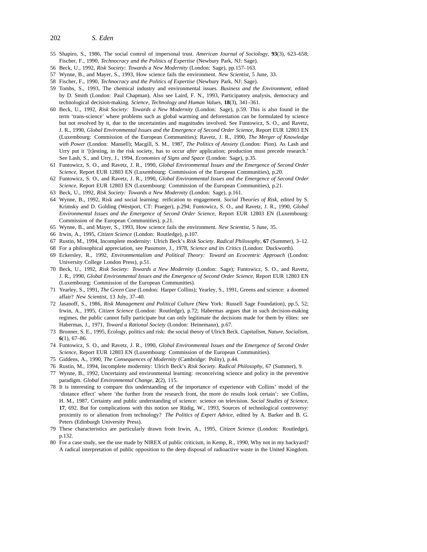#### 202 *S. Eden*

- 55 Shapiro, S., 1986, The social control of impersonal trust. *American Journal of Sociology*, **93**(3), 623–658; Fischer, F., 1990, *Technocracy and the Politics of Expertise* (Newbury Park, NJ: Sage).
- 56 Beck, U., 1992, *Risk Society: Towards a New Modernity* (London: Sage), pp.157–163.
- 57 Wynne, B., and Mayer, S., 1993, How science fails the environment. *New Scientist*, 5 June, 33.
- 58 Fischer, F., 1990, *Technocracy and the Politics of Expertise* (Newbury Park, NJ: Sage).
- 59 Tombs, S., 1993, The chemical industry and environmental issues. *Business and the Environment*, edited by D. Smith (London: Paul Chapman). Also see Laird, F. N., 1993, Participatory analysis, democracy and technological decision-making. *Science, Technology and Human Values*, **18**(3), 341–361.
- 60 Beck, U., 1992, *Risk Society: Towards a New Modernity* (London: Sage), p.59. This is also found in the term 'trans-science' where problems such as global warming and deforestation can be formulated by science but not resolved by it, due to the uncertainties and magnitudes involved. See Funtowicz, S. O., and Ravetz, J. R., 1990, *Global Environmental Issues and the Emergence of Second Order Science*, Report EUR 12803 EN (Luxembourg: Commission of the European Communities); Ravetz, J. R., 1990, *The Merger of Knowledge with Power* (London: Mansell); Macgill, S. M., 1987, *The Politics of Anxiety* (London: Pion). As Lash and Urry put it '[t]esting, in the risk society, has to occur *after* application; production must precede research.' See Lash, S., and Urry, J., 1994, *Economies of Signs and Space* (London: Sage), p.35.
- 61 Funtowicz, S. O., and Ravetz, J. R., 1990, *Global Environmental Issues and the Emergence of Second Order Science*, Report EUR 12803 EN (Luxembourg: Commission of the European Communities), p.20.
- 62 Funtowicz, S. O., and Ravetz, J. R., 1990, *Global Environmental Issues and the Emergence of Second Order Science*, Report EUR 12803 EN (Luxembourg: Commission of the European Communities), p.21.
- 63 Beck, U., 1992, *Risk Society: Towards a New Modernity* (London: Sage), p.161.
- 64 Wynne, B., 1992, Risk and social learning: reification to engagement. *Social Theories of Risk*, edited by S. Krimsky and D. Golding (Westport, CT: Praeger), p.294; Funtowicz, S. O., and Ravetz, J. R., 1990, *Global Environmental Issues and the Emergence of Second Order Science*, Report EUR 12803 EN (Luxembourg: Commission of the European Communities), p.21.
- 65 Wynne, B., and Mayer, S., 1993, How science fails the environment. *New Scientist*, 5 June, 35.
- 66 Irwin, A., 1995, *Citizen Science* (London: Routledge), p.107.
- 67 Rustin, M., 1994, Incomplete modernity: Ulrich Beck's *Risk Society*. *Radical Philosophy*, **67** (Summer), 3–12.
- 68 For a philosophical appreciation, see Passmore, J., 1978, *Science and its Critics* (London: Duckworth).
- 69 Eckersley, R., 1992, *Environmentalism and Political Theory: Toward an Ecocentric Approach* (London: University College London Press), p.51.
- 70 Beck, U., 1992, *Risk Society: Towards a New Modernity* (London: Sage); Funtowicz, S. O., and Ravetz, J. R., 1990, *Global Environmental Issues and the Emergence of Second Order Science*, Report EUR 12803 EN (Luxembourg: Commission of the European Communities).
- 71 Yearley, S., 1991, *The Green Case* (London: Harper Collins); Yearley, S., 1991, Greens and science: a doomed affair? *New Scientist*, 13 July, 37–40.
- 72 Jasanoff, S., 1986, *Risk Management and Political Culture* (New York: Russell Sage Foundation), pp.5, 52; Irwin, A., 1995, *Citizen Science* (London: Routledge), p.72; Habermas argues that in such decision-making regimes, the public cannot fully participate but can only legitimate the decisions made for them by elites: see ´ Habermas, J., 1971, *Toward a Rational Society* (London: Heinemann), p.67.
- 73 Bronner, S. E., 1995, Ecology, politics and risk: the social theory of Ulrich Beck. *Capitalism, Nature, Socialism*, **6**(1), 67–86.
- 74 Funtowicz, S. O., and Ravetz, J. R., 1990, *Global Environmental Issues and the Emergence of Second Order Science*, Report EUR 12803 EN (Luxembourg: Commission of the European Communities).
- 75 Giddens, A., 1990, *The Consequences of Modernity* (Cambridge: Polity), p.44.
- 76 Rustin, M., 1994, Incomplete modernity: Ulrich Beck's *Risk Society*. *Radical Philosophy*, 67 (Summer), 9.
- 77 Wynne, B., 1992, Uncertainty and environmental learning: reconceiving science and policy in the preventive paradigm. *Global Environmental Change*, **2**(2), 115.
- 78 It is interesting to compare this understanding of the importance of experience with Collins' model of the 'distance effect' where 'the further from the research front, the more do results look certain': see Collins, H. M., 1987, Certainty and public understanding of science: science on television. *Social Studies of Science*, **17**, 692. But for complications with this notion see Rudig, W., 1993, Sources of technological controversy: ¨ proximity to or alienation from technology? *The Politics of Expert Advice*, edited by A. Barker and B. G. Peters (Edinburgh University Press).
- 79 These characteristics are particularly drawn from Irwin, A., 1995, *Citizen Science* (London: Routledge), p.132.
- 80 For a case study, see the use made by NIREX of public criticism, in Kemp, R., 1990, Why not in my backyard? A radical interpretation of public opposition to the deep disposal of radioactive waste in the United Kingdom.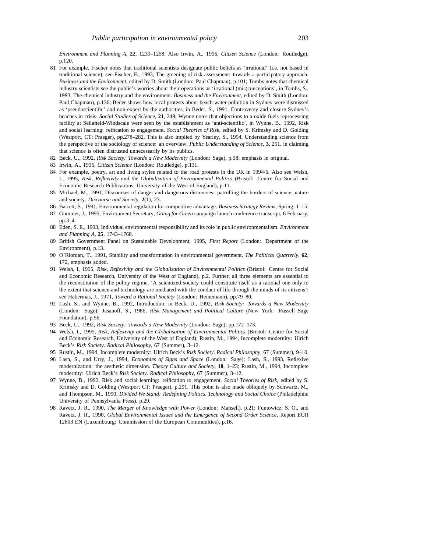*Environment and Planning A*, **22**, 1239–1258. Also Irwin, A., 1995, *Citizen Science* (London: Routledge), p.120.

- 81 For example, Fischer notes that traditional scientists designate public beliefs as 'irrational' (i.e. not based in traditional science); see Fischer, F., 1993, The greening of risk assessment: towards a participatory approach. *Business and the Environment*, edited by D. Smith (London: Paul Chapman), p.101; Tombs notes that chemical industry scientists see the public's worries about their operations as 'irrational (mis)conceptions', in Tombs, S., 1993, The chemical industry and the environment. *Business and the Environment*, edited by D. Smith (London: Paul Chapman), p.136; Beder shows how local protests about beach water pollution in Sydney were dismissed as 'pseudoscientific' and non-expert by the authorities, in Beder, S., 1991, Controversy and closure Sydney's beaches in crisis. *Social Studies of Science*, **21**, 249; Wynne notes that objections to a oxide fuels reprocessing facility at Sellafield-Windscale were seen by the establishment as 'anti-scientific', in Wynne, B., 1992, Risk and social learning: reification to engagement. *Social Theories of Risk*, edited by S. Krimsky and D. Golding (Westport, CT: Praeger), pp.278–282. This is also implied by Yearley, S., 1994, Understanding science from the perspective of the sociology of science: an overview. *Public Understanding of Science*, **3**, 251, in claiming that science is often distrusted unnecessarily by its publics.
- 82 Beck, U., 1992, *Risk Society: Towards a New Modernity* (London: Sage), p.58; emphasis in original.
- 83 Irwin, A., 1995, *Citizen Science* (London: Routledge), p.131.
- 84 For example, poetry, art and living styles related to the road protests in the UK in 1994/5. Also see Welsh, I., 1995, *Risk, Reflexivity and the Globalisation of Environmental Politics* (Bristol: Centre for Social and Economic Research Publications, University of the West of England), p.11.
- 85 Michael, M., 1991, Discourses of danger and dangerous discourses: patrolling the borders of science, nature and society. *Discourse and Society*, **2**(1), 23.
- 86 Barrett, S., 1991, Environmental regulation for competitive advantage. *Business Strategy Review*, Spring, 1–15.
- 87 Gummer, J., 1995, Environment Secretary, *Going for Green* campaign launch conference transcript, 6 February, pp.3–4.
- 88 Eden, S. E., 1993, Individual environmental responsibility and its role in public environmentalism. *Environment and Planning A*, **25**, 1743–1768.
- 89 British Government Panel on Sustainable Development, 1995, *First Report* (London: Department of the Environment), p.13.
- 90 O'Riordan, T., 1991, Stability and transformation in environmental government. *The Political Quarterly*, **62**, 172, emphasis added.
- 91 Welsh, I, 1995, *Risk, Reflexivity and the Globalisation of Environmental Politics* (Bristol: Centre for Social and Economic Research, University of the West of England), p.2. Further, all three elements are essential to the reconstitution of the policy regime. 'A scientized society could constitute itself as a rational one only to the extent that science and technology are mediated with the conduct of life through the minds of its citizens': see Habermas, J., 1971, *Toward a Rational Society* (London: Heinemann), pp.79–80.
- 92 Lash, S., and Wynne, B., 1992, Introduction, in Beck, U., 1992, *Risk Society: Towards a New Modernity* (London: Sage); Jasanoff, S., 1986, *Risk Management and Political Culture* (New York: Russell Sage Foundation), p.56.
- 93 Beck, U., 1992, *Risk Society: Towards a New Modernity* (London: Sage), pp.172–173.
- 94 Welsh, I., 1995, *Risk, Reflexivity and the Globalisation of Environmental Politics* (Bristol: Centre for Social and Economic Research, University of the West of England); Rustin, M., 1994, Incomplete modernity: Ulrich Beck's *Risk Society*. *Radical Philosophy*, 67 (Summer), 3–12.
- 95 Rustin, M., 1994, Incomplete modernity: Ulrich Beck's *Risk Society*. *Radical Philosophy*, 67 (Summer), 9–10.
- 96 Lash, S., and Urry, J., 1994, *Economies of Signs and Space* (London: Sage); Lash, S., 1993, Reflexive modernization: the aesthetic dimension. *Theory Culture and Society*, **10**, 1–23; Rustin, M., 1994, Incomplete modernity: Ulrich Beck's *Risk Society*. *Radical Philosophy*, 67 (Summer), 3–12.
- 97 Wynne, B., 1992, Risk and social learning: reification to engagement. *Social Theories of Risk*, edited by S. Krimsky and D. Golding (Westport CT: Praeger), p.291. This point is also made obliquely by Schwartz, M., and Thompson, M., 1990, *Divided We Stand: Redefining Politics, Technology and Social Choice* (Philadelphia: University of Pennsylvania Press), p.29.
- 98 Ravetz, J. R., 1990, *The Merger of Knowledge with Power* (London: Mansell), p.21; Funtowicz, S. O., and Ravetz, J. R., 1990, *Global Environmental Issues and the Emergence of Second Order Science*, Report EUR 12803 EN (Luxembourg: Commission of the European Communities), p.16.